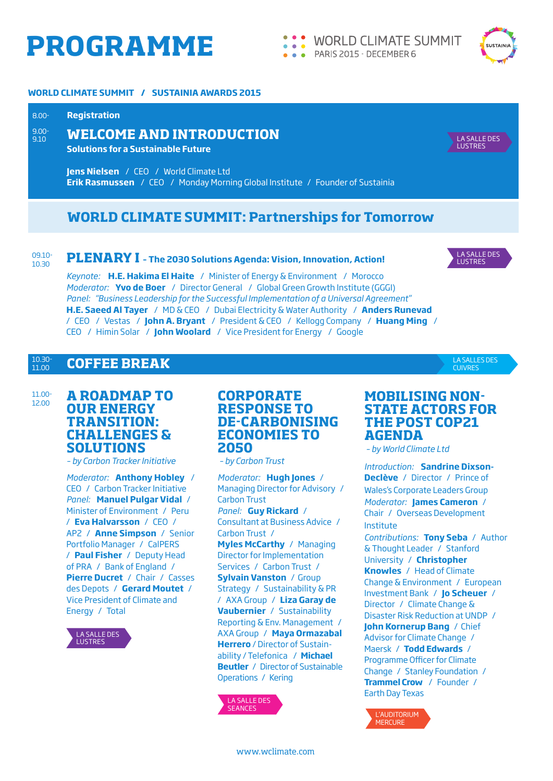# **PROGRAMME**

**WORLD CLIMATE SUMMIT**  $\bullet$   $\bullet$   $\bullet$ PARIS 2015 - DECEMBER 6



### **WORLD CLIMATE SUMMIT / SUSTAINIA AWARDS 2015**

#### **Registration** 8.00-

9.00- 9.10

### **WELCOME AND INTRODUCTION**

**Solutions for a Sustainable Future** 

**Jens Nielsen** / CEO / World Climate Ltd **Erik Rasmussen** / CEO / Monday Morning Global Institute / Founder of Sustainia

### **WORLD CLIMATE SUMMIT: Partnerships for Tomorrow**

#### 09.10- 10.30 **PLENARY I – The 2030 Solutions Agenda: Vision, Innovation, Action!**



LA SALLES DES CUIVRES

LA SALLE DES **LUSTRES** 

*Keynote:* **H.E. Hakima El Haite** / Minister of Energy & Environment / Morocco *Moderator:* **Yvo de Boer** / Director General / Global Green Growth Institute (GGGI) *Panel: "Business Leadership for the Successful Implementation of a Universal Agreement"* **H.E. Saeed Al Tayer** / MD & CEO / Dubai Electricity & Water Authority / **Anders Runevad**  / CEO / Vestas / **John A. Bryant** / President & CEO / Kellogg Company / **Huang Ming** / CEO / Himin Solar / **John Woolard** / Vice President for Energy / Google

#### **COFFEE BREAK** 10.30- 11.00

### 11.00- 12.00 **A ROADMAP TO**

### **OUR ENERGY TRANSITION: CHALLENGES & SOLUTIONS**

*– by Carbon Tracker Initiative*

*Moderator:* **Anthony Hobley** / CEO / Carbon Tracker Initiative *Panel:* **Manuel Pulgar Vidal** / Minister of Environment / Peru / **Eva Halvarsson** / CEO / AP2 / **Anne Simpson** / Senior Portfolio Manager / CalPERS / **Paul Fisher** / Deputy Head of PRA / Bank of England / **Pierre Ducret** / Chair / Casses des Depots / **Gerard Moutet** / Vice President of Climate and Energy / Total



### **CORPORATE RESPONSE TO DE-CARBONISING ECONOMIES TO 2050**

 *– by Carbon Trust*

*Moderator:* **Hugh Jones** / Managing Director for Advisory / Carbon Trust *Panel:* **Guy Rickard** / Consultant at Business Advice / Carbon Trust / **Myles McCarthy** / Managing Director for Implementation Services / Carbon Trust / **Sylvain Vanston** / Group Strategy / Sustainability & PR / AXA Group / **Liza Garay de Vaubernier** / Sustainability Reporting & Env. Management / AXA Group / **Maya Ormazabal Herrero** / Director of Sustainability / Telefonica / **Michael Beutler** / Director of Sustainable Operations / Kering



### **MOBILISING NON-STATE ACTORS FOR THE POST COP21 AGENDA**

*– by World Climate Ltd*

*Introduction:* **Sandrine Dixson-Declève** / Director / Prince of Wales's Corporate Leaders Group *Moderator:* **James Cameron** / Chair / Overseas Development Institute *Contributions:* **Tony Seba** / Author & Thought Leader / Stanford University / **Christopher Knowles** / Head of Climate Change & Environment / European Investment Bank / **Jo Scheuer** / Director / Climate Change & Disaster Risk Reduction at UNDP / **John Kornerup Bang** / Chief Advisor for Climate Change / Maersk / **Todd Edwards** / Programme Officer for Climate Change / Stanley Foundation / **Trammel Crow** / Founder / Earth Day Texas

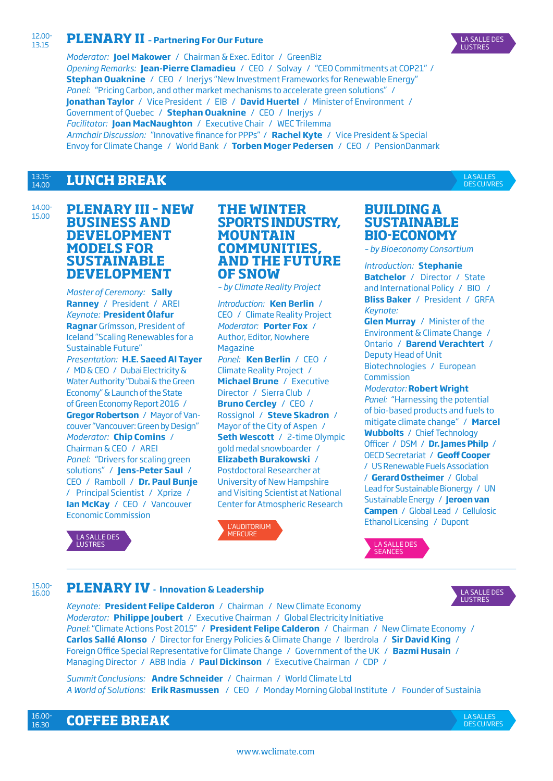#### 12.00- 13.15 **PLENARY II – Partnering For Our Future**



*Moderator:* **Joel Makower** / Chairman & Exec. Editor / GreenBiz *Opening Remarks:* **Jean-Pierre Clamadieu** / CEO / Solvay / "CEO Commitments at COP21" / **Stephan Ouaknine** / CEO / Inerjys "New Investment Frameworks for Renewable Energy" *Panel:* "Pricing Carbon, and other market mechanisms to accelerate green solutions" / **Jonathan Taylor** / Vice President / EIB / **David Huertel** / Minister of Environment / Government of Quebec / **Stephan Ouaknine** / CEO / Inerjys / *Facilitator:* **Joan MacNaughton** / Executive Chair / WEC Trilemma *Armchair Discussion:* "Innovative finance for PPPs" / **Rachel Kyte** / Vice President & Special Envoy for Climate Change / World Bank / **Torben Moger Pedersen** / CEO / PensionDanmark

#### **LUNCH BREAK** 13.15- 14.00

14.00- 15.00

LA SALLES DES CUIVRES

### **PLENARY III – NEW BUSINESS AND DEVELOPMENT MODELS FOR SUSTAINABLE DEVELOPMENT**

*Master of Ceremony:* **Sally Ranney** / President / AREI *Keynote:* **President Ólafur Ragnar** Grímsson, President of Iceland "Scaling Renewables for a Sustainable Future" *Presentation:* **H.E. Saeed Al Tayer** / MD & CEO / Dubai Electricity & Water Authority "Dubai & the Green Economy" & Launch of the State of Green Economy Report 2016 / **Gregor Robertson** / Mayor of Vancouver "Vancouver: Green by Design" *Moderator:* **Chip Comins** / Chairman & CEO / AREI *Panel:* "Drivers for scaling green solutions" / **Jens-Peter Saul** / CEO / Ramboll / **Dr. Paul Bunje**  / Principal Scientist / Xprize / **Ian McKay** / CEO / Vancouver Economic Commission

### **THE WINTER SPORTS INDUSTRY, MOUNTAIN COMMUNITIES, AND THE FUTURE OF SNOW**

*– by Climate Reality Project*

*Introduction:* **Ken Berlin** / CEO / Climate Reality Project *Moderator:* **Porter Fox** / Author, Editor, Nowhere Magazine *Panel:* **Ken Berlin** / CEO / Climate Reality Project / **Michael Brune** / Executive Director / Sierra Club / **Bruno Cercley** / CEO / Rossignol / **Steve Skadron** / Mayor of the City of Aspen / **Seth Wescott** / 2-time Olympic gold medal snowboarder / **Elizabeth Burakowski** / Postdoctoral Researcher at University of New Hampshire and Visiting Scientist at National Center for Atmospheric Research



### **BUILDING A SUSTAINABLE BIO-ECONOMY**

*– by Bioeconomy Consortium*

*Introduction:* **Stephanie Batchelor** / Director / State and International Policy / BIO / **Bliss Baker** / President / GRFA *Keynote:*

**Glen Murray** / Minister of the Environment & Climate Change / Ontario / **Barend Verachtert** / Deputy Head of Unit Biotechnologies / European Commission

*Moderator:* **Robert Wright** *Panel:* "Harnessing the potential of bio-based products and fuels to mitigate climate change" / **Marcel Wubbolts** / Chief Technology Officer / DSM / **Dr. James Philp** / OECD Secretariat / **Geoff Cooper** / US Renewable Fuels Association / **Gerard Ostheimer** / Global Lead for Sustainable Bionergy / UN Sustainable Energy / **Jeroen van Campen** / Global Lead / Cellulosic Ethanol Licensing / Dupont



## LA SALLE DES SEANCES

#### 15.00- 16.00 **PLENARY IV - Innovation & Leadership**



*Keynote:* **President Felipe Calderon** / Chairman / New Climate Economy *Moderator:* **Philippe Joubert** / Executive Chairman / Global Electricity Initiative *Panel*: "Climate Actions Post 2015" / **President Felipe Calderon** / Chairman / New Climate Economy / **Carlos Sallé Alonso** / Director for Energy Policies & Climate Change / Iberdrola / **Sir David King** / Foreign Office Special Representative for Climate Change / Government of the UK / **Bazmi Husain** / Managing Director / ABB India / **Paul Dickinson** / Executive Chairman / CDP /

*Summit Conclusions:* **Andre Schneider** / Chairman / World Climate Ltd *A World of Solutions:* **Erik Rasmussen** / CEO / Monday Morning Global Institute / Founder of Sustainia

**COFFEE BREAK** 16.30

LA SALLES DES CUIVRES